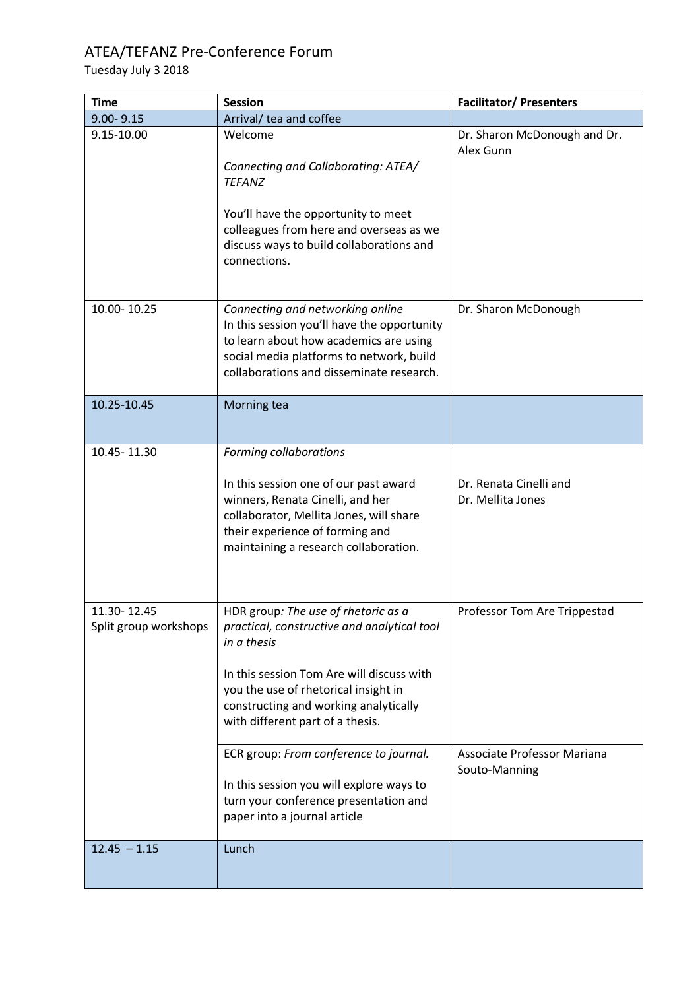## ATEA/TEFANZ Pre-Conference Forum

Tuesday July 3 2018

| <b>Time</b>                          | <b>Session</b>                                                                                                                                                                                                    | <b>Facilitator/Presenters</b>                |
|--------------------------------------|-------------------------------------------------------------------------------------------------------------------------------------------------------------------------------------------------------------------|----------------------------------------------|
| $9.00 - 9.15$                        | Arrival/ tea and coffee                                                                                                                                                                                           |                                              |
| 9.15-10.00                           | Welcome<br>Connecting and Collaborating: ATEA/<br><b>TEFANZ</b><br>You'll have the opportunity to meet<br>colleagues from here and overseas as we<br>discuss ways to build collaborations and<br>connections.     | Dr. Sharon McDonough and Dr.<br>Alex Gunn    |
| 10.00-10.25                          | Connecting and networking online<br>In this session you'll have the opportunity<br>to learn about how academics are using<br>social media platforms to network, build<br>collaborations and disseminate research. | Dr. Sharon McDonough                         |
| 10.25-10.45                          | Morning tea                                                                                                                                                                                                       |                                              |
| 10.45-11.30                          | Forming collaborations                                                                                                                                                                                            |                                              |
|                                      | In this session one of our past award<br>winners, Renata Cinelli, and her<br>collaborator, Mellita Jones, will share<br>their experience of forming and<br>maintaining a research collaboration.                  | Dr. Renata Cinelli and<br>Dr. Mellita Jones  |
| 11.30-12.45<br>Split group workshops | HDR group: The use of rhetoric as a<br>practical, constructive and analytical tool<br>in a thesis                                                                                                                 | Professor Tom Are Trippestad                 |
|                                      | In this session Tom Are will discuss with<br>you the use of rhetorical insight in<br>constructing and working analytically<br>with different part of a thesis.                                                    |                                              |
|                                      | ECR group: From conference to journal.                                                                                                                                                                            | Associate Professor Mariana<br>Souto-Manning |
|                                      | In this session you will explore ways to<br>turn your conference presentation and<br>paper into a journal article                                                                                                 |                                              |
| $12.45 - 1.15$                       | Lunch                                                                                                                                                                                                             |                                              |
|                                      |                                                                                                                                                                                                                   |                                              |